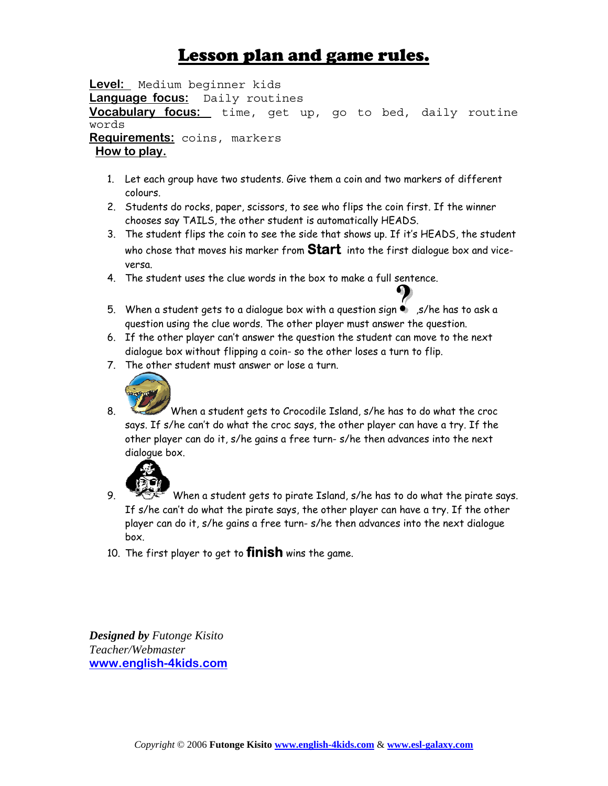## Lesson plan and game rules.

**Level:** Medium beginner kids **Language focus:** Daily routines **Vocabulary focus:** time, get up, go to bed, daily routine words **Requirements:** coins, markers  **How to play.**

- 1. Let each group have two students. Give them a coin and two markers of different colours.
- 2. Students do rocks, paper, scissors, to see who flips the coin first. If the winner chooses say TAILS, the other student is automatically HEADS.
- 3. The student flips the coin to see the side that shows up. If it's HEADS, the student who chose that moves his marker from **Start** into the first dialogue box and viceversa.
- 4. The student uses the clue words in the box to make a full sentence.
- 5. When a student gets to a dialogue box with a question sign  $\bullet$ , s/he has to ask a question using the clue words. The other player must answer the question.
- 6. If the other player can't answer the question the student can move to the next dialogue box without flipping a coin- so the other loses a turn to flip.
- 7. The other student must answer or lose a turn.



8. When a student gets to Crocodile Island, s/he has to do what the croc says. If s/he can't do what the croc says, the other player can have a try. If the other player can do it, s/he gains a free turn- s/he then advances into the next dialogue box.



- 9. When a student gets to pirate Island, s/he has to do what the pirate says. If s/he can't do what the pirate says, the other player can have a try. If the other player can do it, s/he gains a free turn- s/he then advances into the next dialogue box.
- 10. The first player to get to **finish** wins the game.

*Designed by Futonge Kisito Teacher/Webmaster*  **[www.english-4kids.com](http://www.english-4kids.com/)**